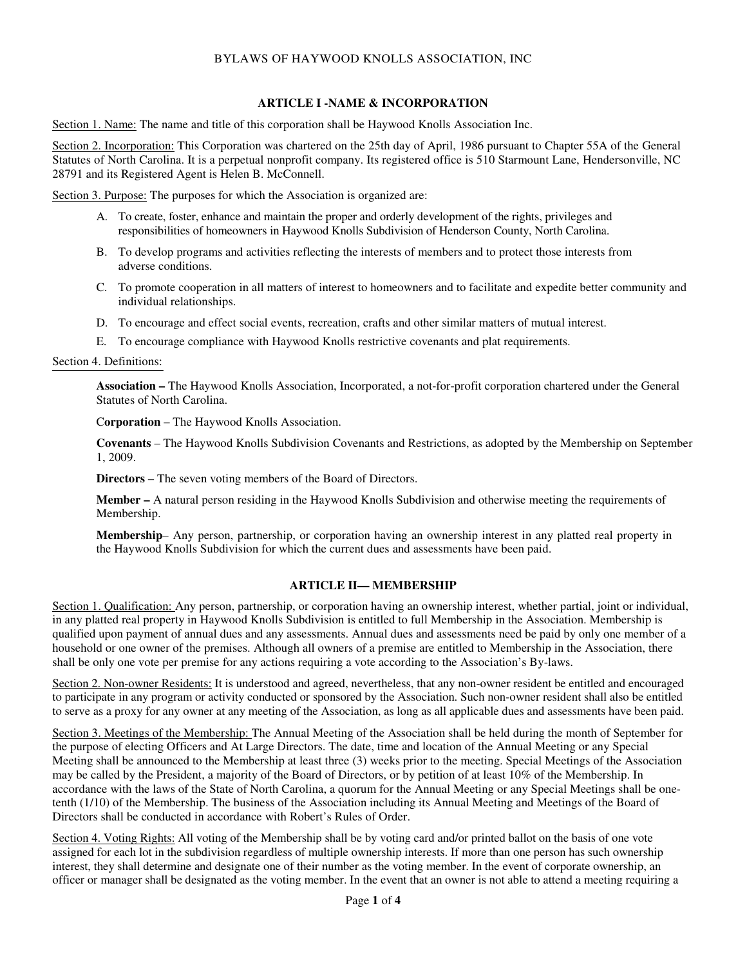## BYLAWS OF HAYWOOD KNOLLS ASSOCIATION, INC

## **ARTICLE I -NAME & INCORPORATION**

Section 1. Name: The name and title of this corporation shall be Haywood Knolls Association Inc.

Section 2. Incorporation: This Corporation was chartered on the 25th day of April, 1986 pursuant to Chapter 55A of the General Statutes of North Carolina. It is a perpetual nonprofit company. Its registered office is 510 Starmount Lane, Hendersonville, NC 28791 and its Registered Agent is Helen B. McConnell.

Section 3. Purpose: The purposes for which the Association is organized are:

- A. To create, foster, enhance and maintain the proper and orderly development of the rights, privileges and responsibilities of homeowners in Haywood Knolls Subdivision of Henderson County, North Carolina.
- B. To develop programs and activities reflecting the interests of members and to protect those interests from adverse conditions.
- C. To promote cooperation in all matters of interest to homeowners and to facilitate and expedite better community and individual relationships.
- D. To encourage and effect social events, recreation, crafts and other similar matters of mutual interest.
- E. To encourage compliance with Haywood Knolls restrictive covenants and plat requirements.

#### Section 4. Definitions:

**Association –** The Haywood Knolls Association, Incorporated, a not-for-profit corporation chartered under the General Statutes of North Carolina.

C**orporation** – The Haywood Knolls Association.

**Covenants** – The Haywood Knolls Subdivision Covenants and Restrictions, as adopted by the Membership on September 1, 2009.

**Directors** – The seven voting members of the Board of Directors.

**Member –** A natural person residing in the Haywood Knolls Subdivision and otherwise meeting the requirements of Membership.

**Membership**– Any person, partnership, or corporation having an ownership interest in any platted real property in the Haywood Knolls Subdivision for which the current dues and assessments have been paid.

### **ARTICLE II— MEMBERSHIP**

Section 1. Qualification: Any person, partnership, or corporation having an ownership interest, whether partial, joint or individual, in any platted real property in Haywood Knolls Subdivision is entitled to full Membership in the Association. Membership is qualified upon payment of annual dues and any assessments. Annual dues and assessments need be paid by only one member of a household or one owner of the premises. Although all owners of a premise are entitled to Membership in the Association, there shall be only one vote per premise for any actions requiring a vote according to the Association's By-laws.

Section 2. Non-owner Residents: It is understood and agreed, nevertheless, that any non-owner resident be entitled and encouraged to participate in any program or activity conducted or sponsored by the Association. Such non-owner resident shall also be entitled to serve as a proxy for any owner at any meeting of the Association, as long as all applicable dues and assessments have been paid.

Section 3. Meetings of the Membership: The Annual Meeting of the Association shall be held during the month of September for the purpose of electing Officers and At Large Directors. The date, time and location of the Annual Meeting or any Special Meeting shall be announced to the Membership at least three (3) weeks prior to the meeting. Special Meetings of the Association may be called by the President, a majority of the Board of Directors, or by petition of at least 10% of the Membership. In accordance with the laws of the State of North Carolina, a quorum for the Annual Meeting or any Special Meetings shall be onetenth (1/10) of the Membership. The business of the Association including its Annual Meeting and Meetings of the Board of Directors shall be conducted in accordance with Robert's Rules of Order.

Section 4. Voting Rights: All voting of the Membership shall be by voting card and/or printed ballot on the basis of one vote assigned for each lot in the subdivision regardless of multiple ownership interests. If more than one person has such ownership interest, they shall determine and designate one of their number as the voting member. In the event of corporate ownership, an officer or manager shall be designated as the voting member. In the event that an owner is not able to attend a meeting requiring a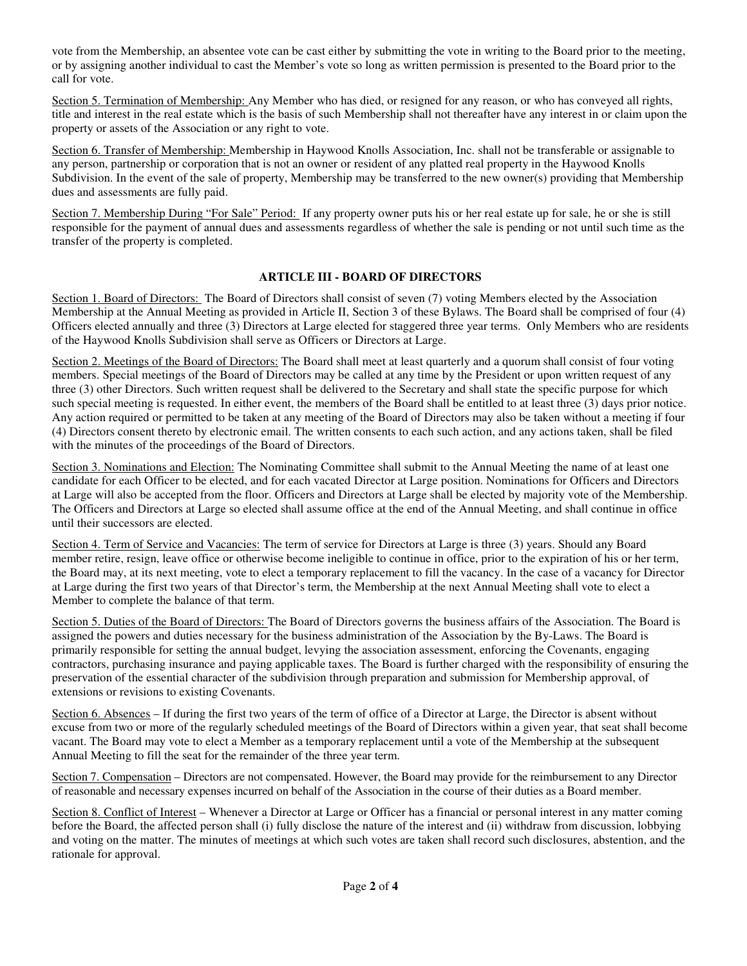vote from the Membership, an absentee vote can be cast either by submitting the vote in writing to the Board prior to the meeting, or by assigning another individual to cast the Member's vote so long as written permission is presented to the Board prior to the call for vote.

Section 5. Termination of Membership: Any Member who has died, or resigned for any reason, or who has conveyed all rights, title and interest in the real estate which is the basis of such Membership shall not thereafter have any interest in or claim upon the property or assets of the Association or any right to vote.

Section 6. Transfer of Membership: Membership in Haywood Knolls Association, Inc. shall not be transferable or assignable to any person, partnership or corporation that is not an owner or resident of any platted real property in the Haywood Knolls Subdivision. In the event of the sale of property, Membership may be transferred to the new owner(s) providing that Membership dues and assessments are fully paid.

Section 7. Membership During "For Sale" Period: If any property owner puts his or her real estate up for sale, he or she is still responsible for the payment of annual dues and assessments regardless of whether the sale is pending or not until such time as the transfer of the property is completed.

# **ARTICLE III - BOARD OF DIRECTORS**

Section 1. Board of Directors: The Board of Directors shall consist of seven (7) voting Members elected by the Association Membership at the Annual Meeting as provided in Article II, Section 3 of these Bylaws. The Board shall be comprised of four (4) Officers elected annually and three (3) Directors at Large elected for staggered three year terms. Only Members who are residents of the Haywood Knolls Subdivision shall serve as Officers or Directors at Large.

Section 2. Meetings of the Board of Directors: The Board shall meet at least quarterly and a quorum shall consist of four voting members. Special meetings of the Board of Directors may be called at any time by the President or upon written request of any three (3) other Directors. Such written request shall be delivered to the Secretary and shall state the specific purpose for which such special meeting is requested. In either event, the members of the Board shall be entitled to at least three (3) days prior notice. Any action required or permitted to be taken at any meeting of the Board of Directors may also be taken without a meeting if four (4) Directors consent thereto by electronic email. The written consents to each such action, and any actions taken, shall be filed with the minutes of the proceedings of the Board of Directors.

Section 3. Nominations and Election: The Nominating Committee shall submit to the Annual Meeting the name of at least one candidate for each Officer to be elected, and for each vacated Director at Large position. Nominations for Officers and Directors at Large will also be accepted from the floor. Officers and Directors at Large shall be elected by majority vote of the Membership. The Officers and Directors at Large so elected shall assume office at the end of the Annual Meeting, and shall continue in office until their successors are elected.

Section 4. Term of Service and Vacancies: The term of service for Directors at Large is three (3) years. Should any Board member retire, resign, leave office or otherwise become ineligible to continue in office, prior to the expiration of his or her term, the Board may, at its next meeting, vote to elect a temporary replacement to fill the vacancy. In the case of a vacancy for Director at Large during the first two years of that Director's term, the Membership at the next Annual Meeting shall vote to elect a Member to complete the balance of that term.

Section 5. Duties of the Board of Directors: The Board of Directors governs the business affairs of the Association. The Board is assigned the powers and duties necessary for the business administration of the Association by the By-Laws. The Board is primarily responsible for setting the annual budget, levying the association assessment, enforcing the Covenants, engaging contractors, purchasing insurance and paying applicable taxes. The Board is further charged with the responsibility of ensuring the preservation of the essential character of the subdivision through preparation and submission for Membership approval, of extensions or revisions to existing Covenants.

Section 6. Absences – If during the first two years of the term of office of a Director at Large, the Director is absent without excuse from two or more of the regularly scheduled meetings of the Board of Directors within a given year, that seat shall become vacant. The Board may vote to elect a Member as a temporary replacement until a vote of the Membership at the subsequent Annual Meeting to fill the seat for the remainder of the three year term.

Section 7. Compensation – Directors are not compensated. However, the Board may provide for the reimbursement to any Director of reasonable and necessary expenses incurred on behalf of the Association in the course of their duties as a Board member.

Section 8. Conflict of Interest – Whenever a Director at Large or Officer has a financial or personal interest in any matter coming before the Board, the affected person shall (i) fully disclose the nature of the interest and (ii) withdraw from discussion, lobbying and voting on the matter. The minutes of meetings at which such votes are taken shall record such disclosures, abstention, and the rationale for approval.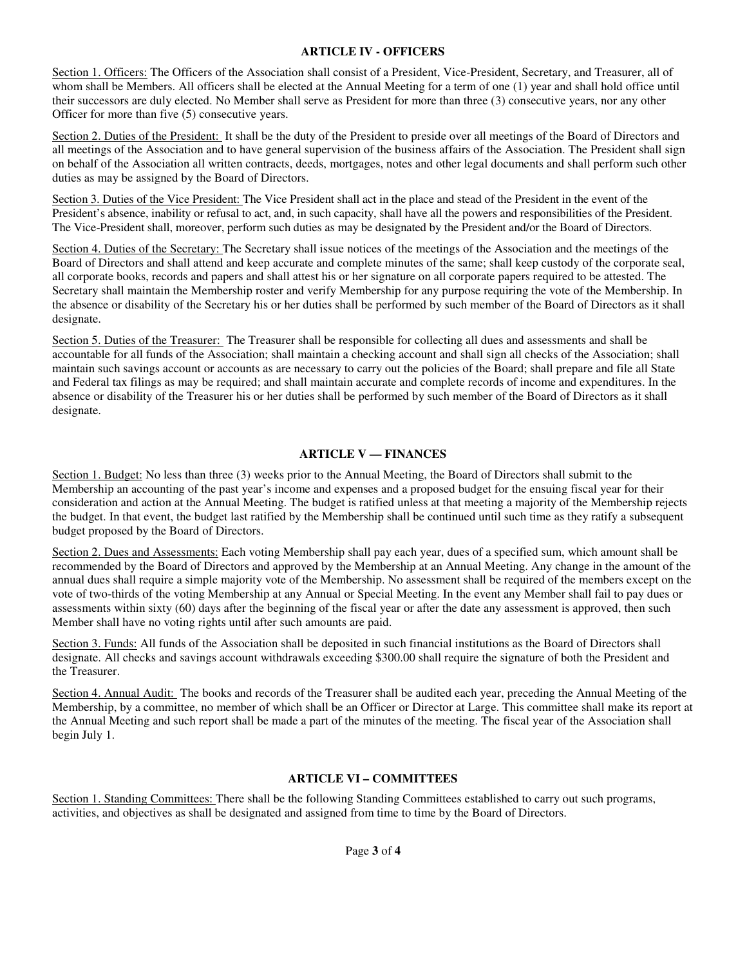#### **ARTICLE IV - OFFICERS**

Section 1. Officers: The Officers of the Association shall consist of a President, Vice-President, Secretary, and Treasurer, all of whom shall be Members. All officers shall be elected at the Annual Meeting for a term of one (1) year and shall hold office until their successors are duly elected. No Member shall serve as President for more than three (3) consecutive years, nor any other Officer for more than five (5) consecutive years.

Section 2. Duties of the President: It shall be the duty of the President to preside over all meetings of the Board of Directors and all meetings of the Association and to have general supervision of the business affairs of the Association. The President shall sign on behalf of the Association all written contracts, deeds, mortgages, notes and other legal documents and shall perform such other duties as may be assigned by the Board of Directors.

Section 3. Duties of the Vice President: The Vice President shall act in the place and stead of the President in the event of the President's absence, inability or refusal to act, and, in such capacity, shall have all the powers and responsibilities of the President. The Vice-President shall, moreover, perform such duties as may be designated by the President and/or the Board of Directors.

Section 4. Duties of the Secretary: The Secretary shall issue notices of the meetings of the Association and the meetings of the Board of Directors and shall attend and keep accurate and complete minutes of the same; shall keep custody of the corporate seal, all corporate books, records and papers and shall attest his or her signature on all corporate papers required to be attested. The Secretary shall maintain the Membership roster and verify Membership for any purpose requiring the vote of the Membership. In the absence or disability of the Secretary his or her duties shall be performed by such member of the Board of Directors as it shall designate.

Section 5. Duties of the Treasurer: The Treasurer shall be responsible for collecting all dues and assessments and shall be accountable for all funds of the Association; shall maintain a checking account and shall sign all checks of the Association; shall maintain such savings account or accounts as are necessary to carry out the policies of the Board; shall prepare and file all State and Federal tax filings as may be required; and shall maintain accurate and complete records of income and expenditures. In the absence or disability of the Treasurer his or her duties shall be performed by such member of the Board of Directors as it shall designate.

# **ARTICLE V — FINANCES**

Section 1. Budget: No less than three (3) weeks prior to the Annual Meeting, the Board of Directors shall submit to the Membership an accounting of the past year's income and expenses and a proposed budget for the ensuing fiscal year for their consideration and action at the Annual Meeting. The budget is ratified unless at that meeting a majority of the Membership rejects the budget. In that event, the budget last ratified by the Membership shall be continued until such time as they ratify a subsequent budget proposed by the Board of Directors.

Section 2. Dues and Assessments: Each voting Membership shall pay each year, dues of a specified sum, which amount shall be recommended by the Board of Directors and approved by the Membership at an Annual Meeting. Any change in the amount of the annual dues shall require a simple majority vote of the Membership. No assessment shall be required of the members except on the vote of two-thirds of the voting Membership at any Annual or Special Meeting. In the event any Member shall fail to pay dues or assessments within sixty (60) days after the beginning of the fiscal year or after the date any assessment is approved, then such Member shall have no voting rights until after such amounts are paid.

Section 3. Funds: All funds of the Association shall be deposited in such financial institutions as the Board of Directors shall designate. All checks and savings account withdrawals exceeding \$300.00 shall require the signature of both the President and the Treasurer.

Section 4. Annual Audit: The books and records of the Treasurer shall be audited each year, preceding the Annual Meeting of the Membership, by a committee, no member of which shall be an Officer or Director at Large. This committee shall make its report at the Annual Meeting and such report shall be made a part of the minutes of the meeting. The fiscal year of the Association shall begin July 1.

# **ARTICLE VI – COMMITTEES**

Section 1. Standing Committees: There shall be the following Standing Committees established to carry out such programs, activities, and objectives as shall be designated and assigned from time to time by the Board of Directors.